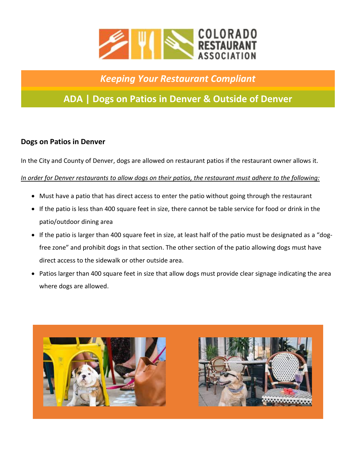

# *Keeping Your Restaurant Compliant*

# **ADA | Dogs on Patios in Denver & Outside of Denver**

### **Dogs on Patios in Denver**

In the City and County of Denver, dogs are allowed on restaurant patios if the restaurant owner allows it.

### *In order for Denver restaurants to allow dogs on their patios, the restaurant must adhere to the following:*

- Must have a patio that has direct access to enter the patio without going through the restaurant
- If the patio is less than 400 square feet in size, there cannot be table service for food or drink in the patio/outdoor dining area
- If the patio is larger than 400 square feet in size, at least half of the patio must be designated as a "dogfree zone" and prohibit dogs in that section. The other section of the patio allowing dogs must have direct access to the sidewalk or other outside area.
- Patios larger than 400 square feet in size that allow dogs must provide clear signage indicating the area where dogs are allowed.